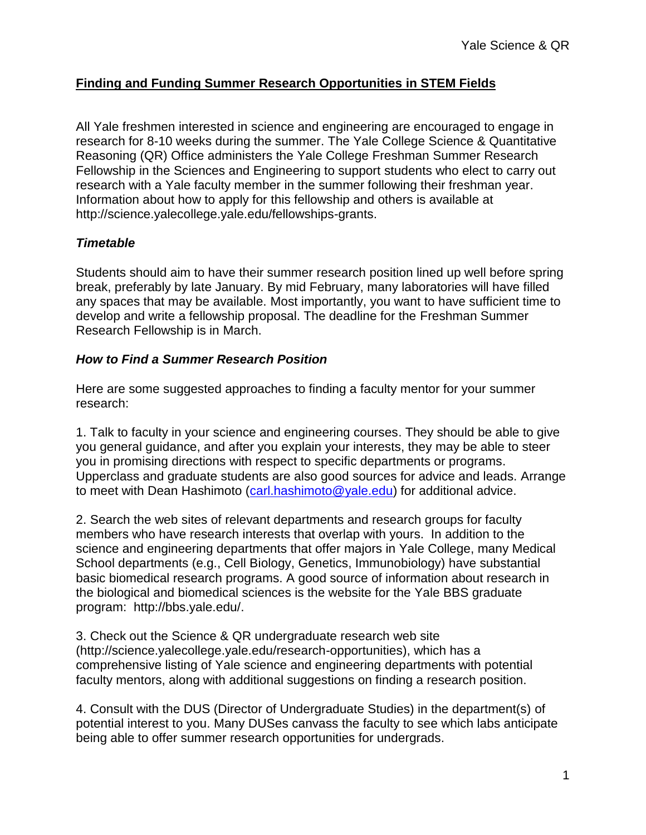# **Finding and Funding Summer Research Opportunities in STEM Fields**

All Yale freshmen interested in science and engineering are encouraged to engage in research for 8-10 weeks during the summer. The Yale College Science & Quantitative Reasoning (QR) Office administers the Yale College Freshman Summer Research Fellowship in the Sciences and Engineering to support students who elect to carry out research with a Yale faculty member in the summer following their freshman year. Information about how to apply for this fellowship and others is available at http://science.yalecollege.yale.edu/fellowships-grants.

## *Timetable*

Students should aim to have their summer research position lined up well before spring break, preferably by late January. By mid February, many laboratories will have filled any spaces that may be available. Most importantly, you want to have sufficient time to develop and write a fellowship proposal. The deadline for the Freshman Summer Research Fellowship is in March.

### *How to Find a Summer Research Position*

Here are some suggested approaches to finding a faculty mentor for your summer research:

1. Talk to faculty in your science and engineering courses. They should be able to give you general guidance, and after you explain your interests, they may be able to steer you in promising directions with respect to specific departments or programs. Upperclass and graduate students are also good sources for advice and leads. Arrange to meet with Dean Hashimoto [\(carl.hashimoto@yale.edu\)](mailto:carl.hashimoto@yale.edu) for additional advice.

2. Search the web sites of relevant departments and research groups for faculty members who have research interests that overlap with yours. In addition to the science and engineering departments that offer majors in Yale College, many Medical School departments (e.g., Cell Biology, Genetics, Immunobiology) have substantial basic biomedical research programs. A good source of information about research in the biological and biomedical sciences is the website for the Yale BBS graduate program: http://bbs.yale.edu/.

3. Check out the Science & QR undergraduate research web site (http://science.yalecollege.yale.edu/research-opportunities), which has a comprehensive listing of Yale science and engineering departments with potential faculty mentors, along with additional suggestions on finding a research position.

4. Consult with the DUS (Director of Undergraduate Studies) in the department(s) of potential interest to you. Many DUSes canvass the faculty to see which labs anticipate being able to offer summer research opportunities for undergrads.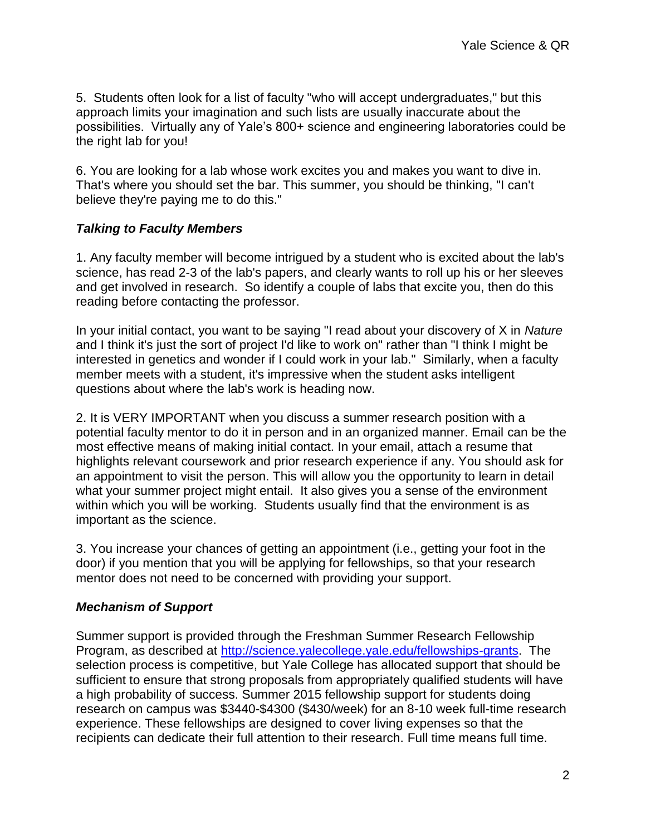5. Students often look for a list of faculty "who will accept undergraduates," but this approach limits your imagination and such lists are usually inaccurate about the possibilities. Virtually any of Yale's 800+ science and engineering laboratories could be the right lab for you!

6. You are looking for a lab whose work excites you and makes you want to dive in. That's where you should set the bar. This summer, you should be thinking, "I can't believe they're paying me to do this."

## *Talking to Faculty Members*

1. Any faculty member will become intrigued by a student who is excited about the lab's science, has read 2-3 of the lab's papers, and clearly wants to roll up his or her sleeves and get involved in research. So identify a couple of labs that excite you, then do this reading before contacting the professor.

In your initial contact, you want to be saying "I read about your discovery of X in *Nature* and I think it's just the sort of project I'd like to work on" rather than "I think I might be interested in genetics and wonder if I could work in your lab." Similarly, when a faculty member meets with a student, it's impressive when the student asks intelligent questions about where the lab's work is heading now.

2. It is VERY IMPORTANT when you discuss a summer research position with a potential faculty mentor to do it in person and in an organized manner. Email can be the most effective means of making initial contact. In your email, attach a resume that highlights relevant coursework and prior research experience if any. You should ask for an appointment to visit the person. This will allow you the opportunity to learn in detail what your summer project might entail. It also gives you a sense of the environment within which you will be working. Students usually find that the environment is as important as the science.

3. You increase your chances of getting an appointment (i.e., getting your foot in the door) if you mention that you will be applying for fellowships, so that your research mentor does not need to be concerned with providing your support.

#### *Mechanism of Support*

Summer support is provided through the Freshman Summer Research Fellowship Program, as described at [http://science.yalecollege.yale.edu/fellowships-grants.](http://science.yalecollege.yale.edu/fellowships-grants) The selection process is competitive, but Yale College has allocated support that should be sufficient to ensure that strong proposals from appropriately qualified students will have a high probability of success. Summer 2015 fellowship support for students doing research on campus was \$3440-\$4300 (\$430/week) for an 8-10 week full-time research experience. These fellowships are designed to cover living expenses so that the recipients can dedicate their full attention to their research. Full time means full time.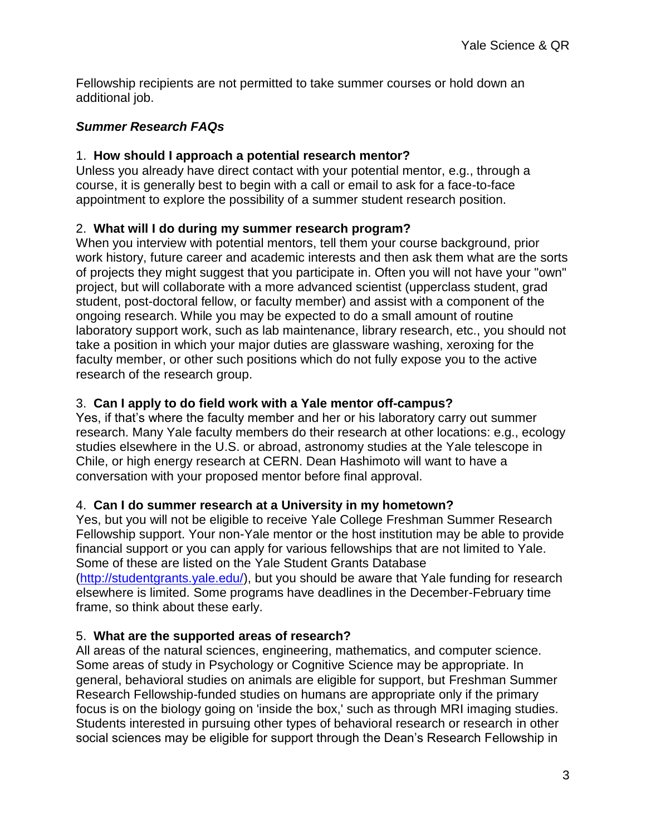Fellowship recipients are not permitted to take summer courses or hold down an additional job.

## *Summer Research FAQs*

## 1. **How should I approach a potential research mentor?**

Unless you already have direct contact with your potential mentor, e.g., through a course, it is generally best to begin with a call or email to ask for a face-to-face appointment to explore the possibility of a summer student research position.

## 2. **What will I do during my summer research program?**

When you interview with potential mentors, tell them your course background, prior work history, future career and academic interests and then ask them what are the sorts of projects they might suggest that you participate in. Often you will not have your "own" project, but will collaborate with a more advanced scientist (upperclass student, grad student, post-doctoral fellow, or faculty member) and assist with a component of the ongoing research. While you may be expected to do a small amount of routine laboratory support work, such as lab maintenance, library research, etc., you should not take a position in which your major duties are glassware washing, xeroxing for the faculty member, or other such positions which do not fully expose you to the active research of the research group.

## 3. **Can I apply to do field work with a Yale mentor off-campus?**

Yes, if that's where the faculty member and her or his laboratory carry out summer research. Many Yale faculty members do their research at other locations: e.g., ecology studies elsewhere in the U.S. or abroad, astronomy studies at the Yale telescope in Chile, or high energy research at CERN. Dean Hashimoto will want to have a conversation with your proposed mentor before final approval.

## 4. **Can I do summer research at a University in my hometown?**

Yes, but you will not be eligible to receive Yale College Freshman Summer Research Fellowship support. Your non-Yale mentor or the host institution may be able to provide financial support or you can apply for various fellowships that are not limited to Yale. Some of these are listed on the Yale Student Grants Database [\(http://studentgrants.yale.edu/\)](http://studentgrants.yale.edu/), but you should be aware that Yale funding for research elsewhere is limited. Some programs have deadlines in the December-February time frame, so think about these early.

#### 5. **What are the supported areas of research?**

All areas of the natural sciences, engineering, mathematics, and computer science. Some areas of study in Psychology or Cognitive Science may be appropriate. In general, behavioral studies on animals are eligible for support, but Freshman Summer Research Fellowship-funded studies on humans are appropriate only if the primary focus is on the biology going on 'inside the box,' such as through MRI imaging studies. Students interested in pursuing other types of behavioral research or research in other social sciences may be eligible for support through the Dean's Research Fellowship in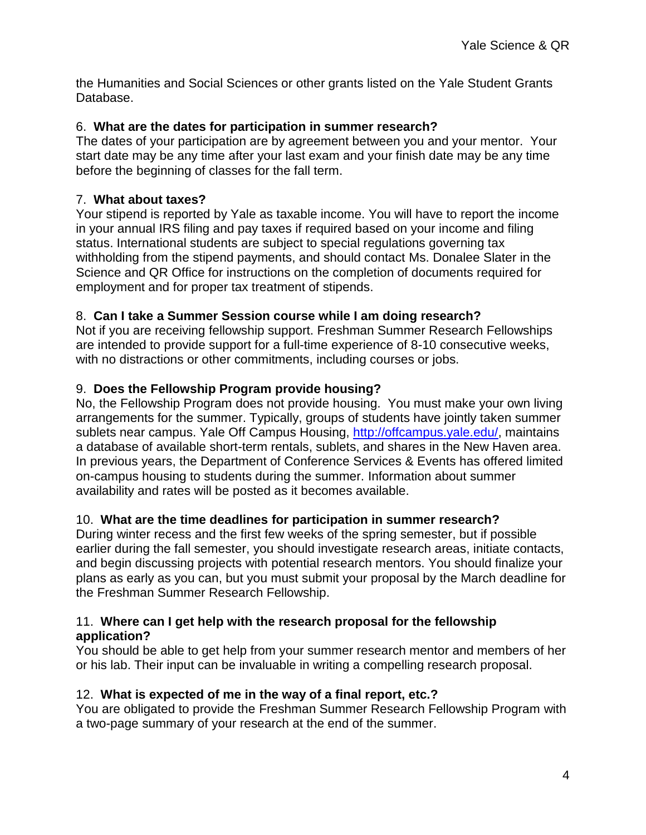the Humanities and Social Sciences or other grants listed on the Yale Student Grants Database.

#### 6. **What are the dates for participation in summer research?**

The dates of your participation are by agreement between you and your mentor. Your start date may be any time after your last exam and your finish date may be any time before the beginning of classes for the fall term.

### 7. **What about taxes?**

Your stipend is reported by Yale as taxable income. You will have to report the income in your annual IRS filing and pay taxes if required based on your income and filing status. International students are subject to special regulations governing tax withholding from the stipend payments, and should contact Ms. Donalee Slater in the Science and QR Office for instructions on the completion of documents required for employment and for proper tax treatment of stipends.

### 8. **Can I take a Summer Session course while I am doing research?**

Not if you are receiving fellowship support. Freshman Summer Research Fellowships are intended to provide support for a full-time experience of 8-10 consecutive weeks, with no distractions or other commitments, including courses or jobs.

### 9. **Does the Fellowship Program provide housing?**

No, the Fellowship Program does not provide housing. You must make your own living arrangements for the summer. Typically, groups of students have jointly taken summer sublets near campus. Yale Off Campus Housing, [http://offcampus.yale.edu/,](http://offcampus.yale.edu/) maintains a database of available short-term rentals, sublets, and shares in the New Haven area. In previous years, the Department of Conference Services & Events has offered limited on-campus housing to students during the summer. Information about summer availability and rates will be posted as it becomes available.

#### 10. **What are the time deadlines for participation in summer research?**

During winter recess and the first few weeks of the spring semester, but if possible earlier during the fall semester, you should investigate research areas, initiate contacts, and begin discussing projects with potential research mentors. You should finalize your plans as early as you can, but you must submit your proposal by the March deadline for the Freshman Summer Research Fellowship.

#### 11. **Where can I get help with the research proposal for the fellowship application?**

You should be able to get help from your summer research mentor and members of her or his lab. Their input can be invaluable in writing a compelling research proposal.

#### 12. **What is expected of me in the way of a final report, etc.?**

You are obligated to provide the Freshman Summer Research Fellowship Program with a two-page summary of your research at the end of the summer.